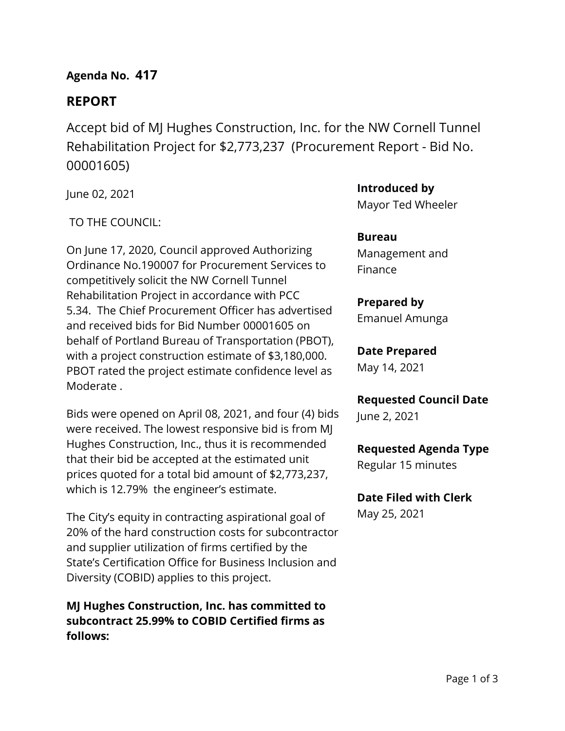## **Agenda No. 417**

# **REPORT**

Accept bid of MJ Hughes Construction, Inc. for the NW Cornell Tunnel Rehabilitation Project for \$2,773,237 (Procurement Report - Bid No. 00001605)

June 02, 2021

TO THE COUNCIL:

On June 17, 2020, Council approved Authorizing Ordinance No.190007 for Procurement Services to competitively solicit the NW Cornell Tunnel Rehabilitation Project in accordance with PCC 5.34. The Chief Procurement Officer has advertised and received bids for Bid Number 00001605 on behalf of Portland Bureau of Transportation (PBOT), with a project construction estimate of \$3,180,000. PBOT rated the project estimate confidence level as Moderate .

Bids were opened on April 08, 2021, and four (4) bids were received. The lowest responsive bid is from MJ Hughes Construction, Inc., thus it is recommended that their bid be accepted at the estimated unit prices quoted for a total bid amount of \$2,773,237, which is 12.79% the engineer's estimate.

The City's equity in contracting aspirational goal of 20% of the hard construction costs for subcontractor and supplier utilization of firms certified by the State's Certification Office for Business Inclusion and Diversity (COBID) applies to this project.

**MJ Hughes Construction, Inc. has committed to subcontract 25.99% to COBID Certified firms as follows:**

**Introduced by** Mayor Ted Wheeler

**Bureau** Management and Finance

## **Prepared by**

Emanuel Amunga

# **Date Prepared**

May 14, 2021

## **Requested Council Date**

June 2, 2021

## **Requested Agenda Type**

Regular 15 minutes

# **Date Filed with Clerk**

May 25, 2021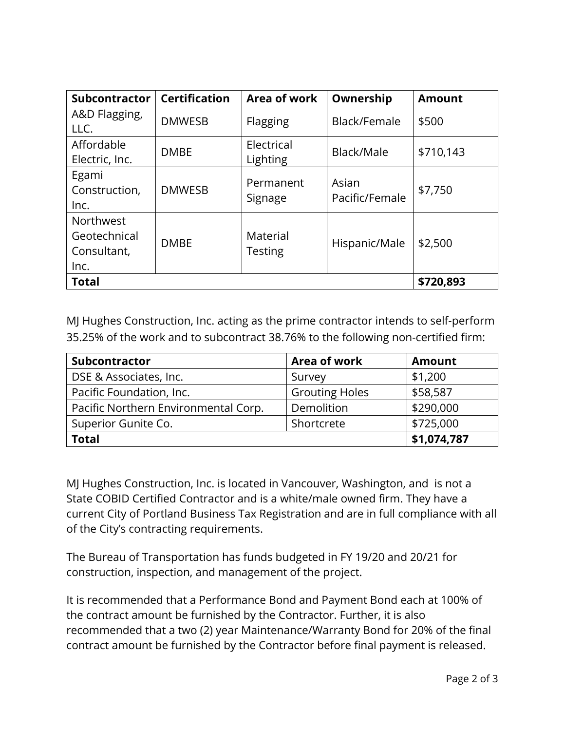| <b>Subcontractor</b> | <b>Certification</b> | Area of work   | Ownership      | <b>Amount</b> |  |
|----------------------|----------------------|----------------|----------------|---------------|--|
| A&D Flagging,        | <b>DMWESB</b>        | Flagging       | Black/Female   | \$500         |  |
| LLC.                 |                      |                |                |               |  |
| Affordable           | <b>DMBE</b>          | Electrical     | Black/Male     | \$710,143     |  |
| Electric, Inc.       |                      | Lighting       |                |               |  |
| Egami                |                      | Permanent      | Asian          |               |  |
| Construction,        | <b>DMWESB</b>        |                | Pacific/Female | \$7,750       |  |
| Inc.                 |                      | Signage        |                |               |  |
| <b>Northwest</b>     |                      |                |                |               |  |
| Geotechnical         | <b>DMBE</b>          | Material       | Hispanic/Male  | \$2,500       |  |
| Consultant,          |                      | <b>Testing</b> |                |               |  |
| Inc.                 |                      |                |                |               |  |
| <b>Total</b>         |                      |                |                | \$720,893     |  |

MJ Hughes Construction, Inc. acting as the prime contractor intends to self-perform 35.25% of the work and to subcontract 38.76% to the following non-certified firm:

| Subcontractor                        | Area of work          | <b>Amount</b> |  |
|--------------------------------------|-----------------------|---------------|--|
| DSE & Associates, Inc.               | Survey                | \$1,200       |  |
| Pacific Foundation, Inc.             | <b>Grouting Holes</b> | \$58,587      |  |
| Pacific Northern Environmental Corp. | Demolition            | \$290,000     |  |
| Superior Gunite Co.                  | Shortcrete            | \$725,000     |  |
| <b>Total</b>                         |                       | \$1,074,787   |  |

MJ Hughes Construction, Inc. is located in Vancouver, Washington, and is not a State COBID Certified Contractor and is a white/male owned firm. They have a current City of Portland Business Tax Registration and are in full compliance with all of the City's contracting requirements.

The Bureau of Transportation has funds budgeted in FY 19/20 and 20/21 for construction, inspection, and management of the project.

It is recommended that a Performance Bond and Payment Bond each at 100% of the contract amount be furnished by the Contractor. Further, it is also recommended that a two (2) year Maintenance/Warranty Bond for 20% of the final contract amount be furnished by the Contractor before final payment is released.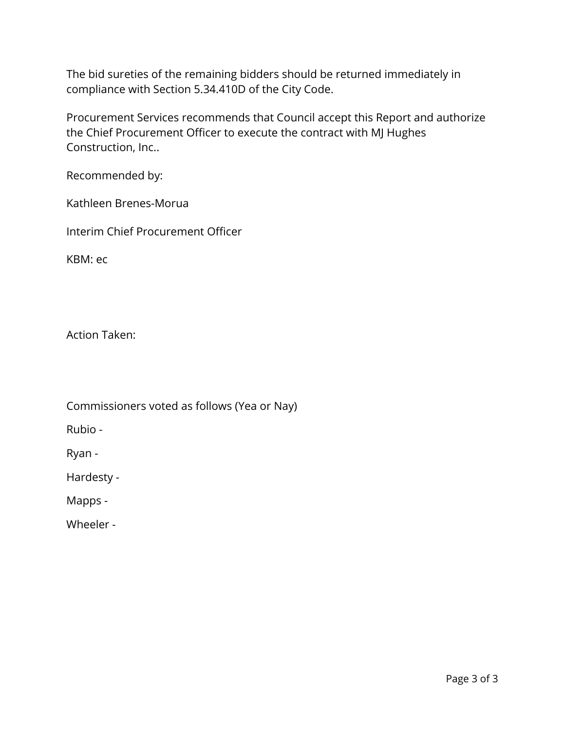The bid sureties of the remaining bidders should be returned immediately in compliance with Section 5.34.410D of the City Code.

Procurement Services recommends that Council accept this Report and authorize the Chief Procurement Officer to execute the contract with MJ Hughes Construction, Inc..

Recommended by:

Kathleen Brenes-Morua

Interim Chief Procurement Officer

KBM: ec

Action Taken:

Commissioners voted as follows (Yea or Nay)

Rubio -

Ryan -

Hardesty -

Mapps -

Wheeler -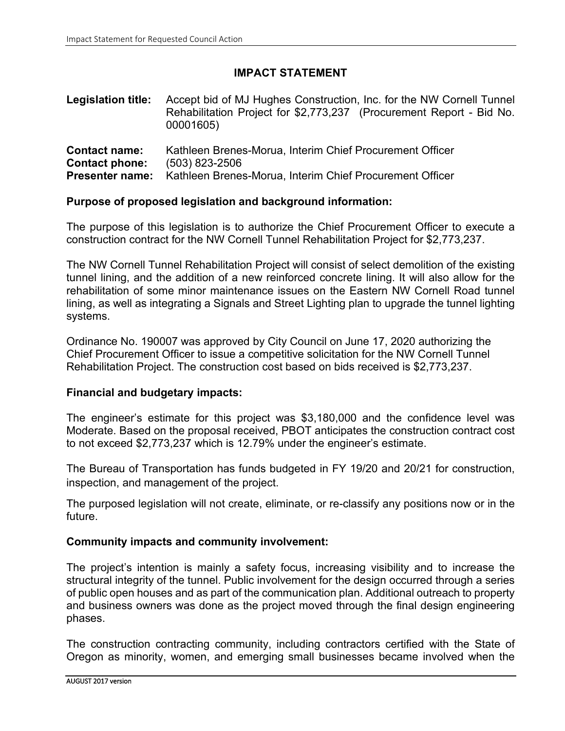## **IMPACT STATEMENT**

| <b>Legislation title:</b> Accept bid of MJ Hughes Construction, Inc. for the NW Cornell Tunnel |
|------------------------------------------------------------------------------------------------|
| Rehabilitation Project for \$2,773,237 (Procurement Report - Bid No.                           |
| 00001605)                                                                                      |
|                                                                                                |

| <b>Contact name:</b>  |                | Kathleen Brenes-Morua, Interim Chief Procurement Officer                        |
|-----------------------|----------------|---------------------------------------------------------------------------------|
| <b>Contact phone:</b> | (503) 823-2506 |                                                                                 |
|                       |                | <b>Presenter name:</b> Kathleen Brenes-Morua, Interim Chief Procurement Officer |

### **Purpose of proposed legislation and background information:**

The purpose of this legislation is to authorize the Chief Procurement Officer to execute a construction contract for the NW Cornell Tunnel Rehabilitation Project for \$2,773,237.

The NW Cornell Tunnel Rehabilitation Project will consist of select demolition of the existing tunnel lining, and the addition of a new reinforced concrete lining. It will also allow for the rehabilitation of some minor maintenance issues on the Eastern NW Cornell Road tunnel lining, as well as integrating a Signals and Street Lighting plan to upgrade the tunnel lighting systems.

Ordinance No. 190007 was approved by City Council on June 17, 2020 authorizing the Chief Procurement Officer to issue a competitive solicitation for the NW Cornell Tunnel Rehabilitation Project. The construction cost based on bids received is \$2,773,237.

### **Financial and budgetary impacts:**

The engineer's estimate for this project was \$3,180,000 and the confidence level was Moderate. Based on the proposal received, PBOT anticipates the construction contract cost to not exceed \$2,773,237 which is 12.79% under the engineer's estimate.

The Bureau of Transportation has funds budgeted in FY 19/20 and 20/21 for construction, inspection, and management of the project.

The purposed legislation will not create, eliminate, or re-classify any positions now or in the future.

### **Community impacts and community involvement:**

The project's intention is mainly a safety focus, increasing visibility and to increase the structural integrity of the tunnel. Public involvement for the design occurred through a series of public open houses and as part of the communication plan. Additional outreach to property and business owners was done as the project moved through the final design engineering phases.

The construction contracting community, including contractors certified with the State of Oregon as minority, women, and emerging small businesses became involved when the